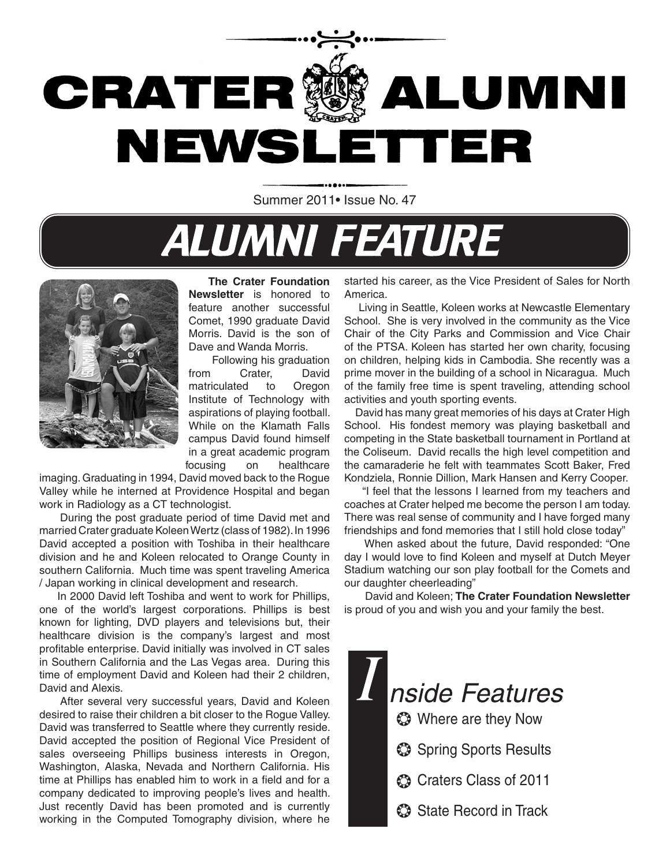

Summer 2011. Issue No. 47

# **ALUMNI FEATURE**



 **The Crater Foundation Newsletter** is honored to feature another successful Comet, 1990 graduate David Morris. David is the son of Dave and Wanda Morris.

 Following his graduation from Crater, David matriculated to Oregon Institute of Technology with aspirations of playing football. While on the Klamath Falls campus David found himself in a great academic program focusing on healthcare

imaging. Graduating in 1994, David moved back to the Rogue Valley while he interned at Providence Hospital and began work in Radiology as a CT technologist.

During the post graduate period of time David met and married Crater graduate Koleen Wertz (class of 1982). In 1996 David accepted a position with Toshiba in their healthcare division and he and Koleen relocated to Orange County in southern California. Much time was spent traveling America / Japan working in clinical development and research.

 In 2000 David left Toshiba and went to work for Phillips, one of the world's largest corporations. Phillips is best known for lighting, DVD players and televisions but, their healthcare division is the company's largest and most profitable enterprise. David initially was involved in CT sales in Southern California and the Las Vegas area. During this time of employment David and Koleen had their 2 children, David and Alexis.

After several very successful years, David and Koleen desired to raise their children a bit closer to the Rogue Valley. David was transferred to Seattle where they currently reside. David accepted the position of Regional Vice President of sales overseeing Phillips business interests in Oregon, Washington, Alaska, Nevada and Northern California. His time at Phillips has enabled him to work in a field and for a company dedicated to improving people's lives and health. Just recently David has been promoted and is currently working in the Computed Tomography division, where he

started his career, as the Vice President of Sales for North America.

 Living in Seattle, Koleen works at Newcastle Elementary School. She is very involved in the community as the Vice Chair of the City Parks and Commission and Vice Chair of the PTSA. Koleen has started her own charity, focusing on children, helping kids in Cambodia. She recently was a prime mover in the building of a school in Nicaragua. Much of the family free time is spent traveling, attending school activities and youth sporting events.

 David has many great memories of his days at Crater High School. His fondest memory was playing basketball and competing in the State basketball tournament in Portland at the Coliseum. David recalls the high level competition and the camaraderie he felt with teammates Scott Baker, Fred Kondziela, Ronnie Dillion, Mark Hansen and Kerry Cooper.

 "I feel that the lessons I learned from my teachers and coaches at Crater helped me become the person I am today. There was real sense of community and I have forged many friendships and fond memories that I still hold close today"

 When asked about the future, David responded: "One day I would love to find Koleen and myself at Dutch Meyer Stadium watching our son play football for the Comets and our daughter cheerleading"

David and Koleen; **The Crater Foundation Newsletter** is proud of you and wish you and your family the best.

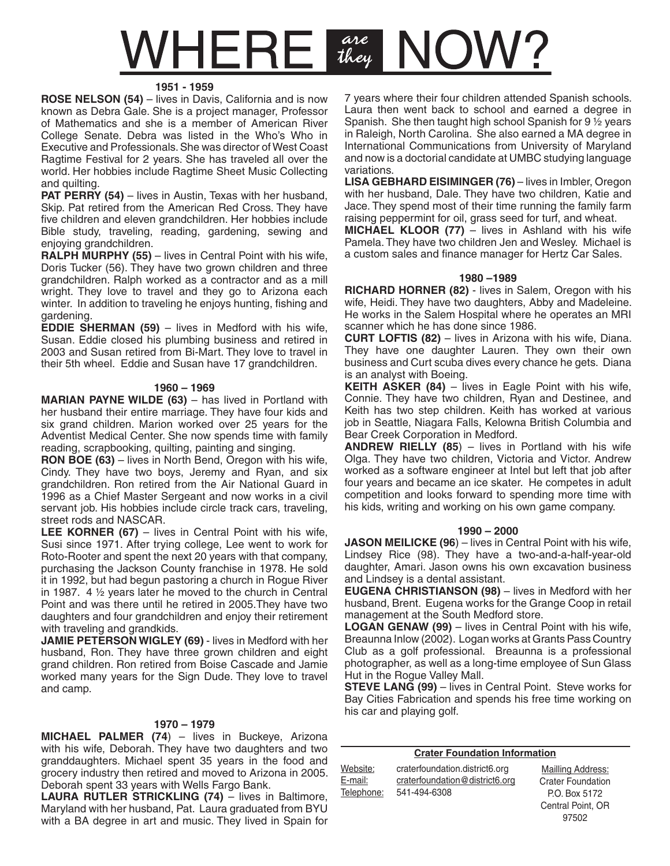## are<br>they VHEREI

#### **1951 - 1959**

**ROSE NELSON (54)** – lives in Davis, California and is now known as Debra Gale. She is a project manager, Professor of Mathematics and she is a member of American River College Senate. Debra was listed in the Who's Who in Executive and Professionals. She was director of West Coast Ragtime Festival for 2 years. She has traveled all over the world. Her hobbies include Ragtime Sheet Music Collecting and quilting.

**PAT PERRY (54)** – lives in Austin, Texas with her husband, Skip. Pat retired from the American Red Cross. They have five children and eleven grandchildren. Her hobbies include Bible study, traveling, reading, gardening, sewing and enjoying grandchildren.

**RALPH MURPHY (55)** – lives in Central Point with his wife, Doris Tucker (56). They have two grown children and three grandchildren. Ralph worked as a contractor and as a mill wright. They love to travel and they go to Arizona each winter. In addition to traveling he enjoys hunting, fishing and gardening.

**EDDIE SHERMAN (59)** – lives in Medford with his wife, Susan. Eddie closed his plumbing business and retired in 2003 and Susan retired from Bi-Mart. They love to travel in their 5th wheel. Eddie and Susan have 17 grandchildren.

#### **1960 – 1969**

**MARIAN PAYNE WILDE (63)** – has lived in Portland with her husband their entire marriage. They have four kids and six grand children. Marion worked over 25 years for the Adventist Medical Center. She now spends time with family reading, scrapbooking, quilting, painting and singing.

**RON BOE (63)** – lives in North Bend, Oregon with his wife, Cindy. They have two boys, Jeremy and Ryan, and six grandchildren. Ron retired from the Air National Guard in 1996 as a Chief Master Sergeant and now works in a civil servant job. His hobbies include circle track cars, traveling, street rods and NASCAR.

**LEE KORNER (67)** – lives in Central Point with his wife, Susi since 1971. After trying college, Lee went to work for Roto-Rooter and spent the next 20 years with that company, purchasing the Jackson County franchise in 1978. He sold it in 1992, but had begun pastoring a church in Rogue River in 1987. 4  $\frac{1}{2}$  years later he moved to the church in Central Point and was there until he retired in 2005.They have two daughters and four grandchildren and enjoy their retirement with traveling and grandkids.

**JAMIE PETERSON WIGLEY (69)** - lives in Medford with her husband, Ron. They have three grown children and eight grand children. Ron retired from Boise Cascade and Jamie worked many years for the Sign Dude. They love to travel and camp.

#### **1970 – 1979**

**MICHAEL PALMER (74**) – lives in Buckeye, Arizona with his wife, Deborah. They have two daughters and two granddaughters. Michael spent 35 years in the food and grocery industry then retired and moved to Arizona in 2005. Deborah spent 33 years with Wells Fargo Bank.

LAURA RUTLER STRICKLING (74) – lives in Baltimore, Maryland with her husband, Pat. Laura graduated from BYU with a BA degree in art and music. They lived in Spain for 7 years where their four children attended Spanish schools. Laura then went back to school and earned a degree in Spanish. She then taught high school Spanish for  $9\%$  years in Raleigh, North Carolina. She also earned a MA degree in International Communications from University of Maryland and now is a doctorial candidate at UMBC studying language variations.

LISA GEBHARD EISIMINGER (76) – lives in Imbler, Oregon with her husband, Dale. They have two children, Katie and Jace. They spend most of their time running the family farm raising peppermint for oil, grass seed for turf, and wheat.

**MICHAEL KLOOR (77)** – lives in Ashland with his wife Pamela. They have two children Jen and Wesley. Michael is a custom sales and finance manager for Hertz Car Sales.

#### **1980 –1989**

**RICHARD HORNER (82)** - lives in Salem, Oregon with his wife, Heidi. They have two daughters, Abby and Madeleine. He works in the Salem Hospital where he operates an MRI scanner which he has done since 1986.

**CURT LOFTIS (82)** – lives in Arizona with his wife, Diana. They have one daughter Lauren. They own their own business and Curt scuba dives every chance he gets. Diana is an analyst with Boeing.

**KEITH ASKER (84)** – lives in Eagle Point with his wife, Connie. They have two children, Ryan and Destinee, and Keith has two step children. Keith has worked at various job in Seattle, Niagara Falls, Kelowna British Columbia and Bear Creek Corporation in Medford.

**ANDREW RIELLY (85**) – lives in Portland with his wife Olga. They have two children, Victoria and Victor. Andrew worked as a software engineer at Intel but left that job after four years and became an ice skater. He competes in adult competition and looks forward to spending more time with his kids, writing and working on his own game company.

#### **1990 – 2000**

**JASON MEILICKE (96**) – lives in Central Point with his wife, Lindsey Rice (98). They have a two-and-a-half-year-old daughter, Amari. Jason owns his own excavation business and Lindsey is a dental assistant.

**EUGENA CHRISTIANSON (98)** – lives in Medford with her husband, Brent. Eugena works for the Grange Coop in retail management at the South Medford store.

**LOGAN GENAW (99)** – lives in Central Point with his wife, Breaunna Inlow (2002). Logan works at Grants Pass Country Club as a golf professional. Breaunna is a professional photographer, as well as a long-time employee of Sun Glass Hut in the Rogue Valley Mall.

**STEVE LANG (99)** – lives in Central Point. Steve works for Bay Cities Fabrication and spends his free time working on his car and playing golf.

| <b>Crater Foundation Information</b> |                                                                                  |                                                                                              |  |
|--------------------------------------|----------------------------------------------------------------------------------|----------------------------------------------------------------------------------------------|--|
| Website:<br>E-mail:<br>Telephone:    | craterfoundation.district6.org<br>craterfoundation@district6.org<br>541-494-6308 | Mailling Address:<br><b>Crater Foundation</b><br>P.O. Box 5172<br>Central Point, OR<br>97502 |  |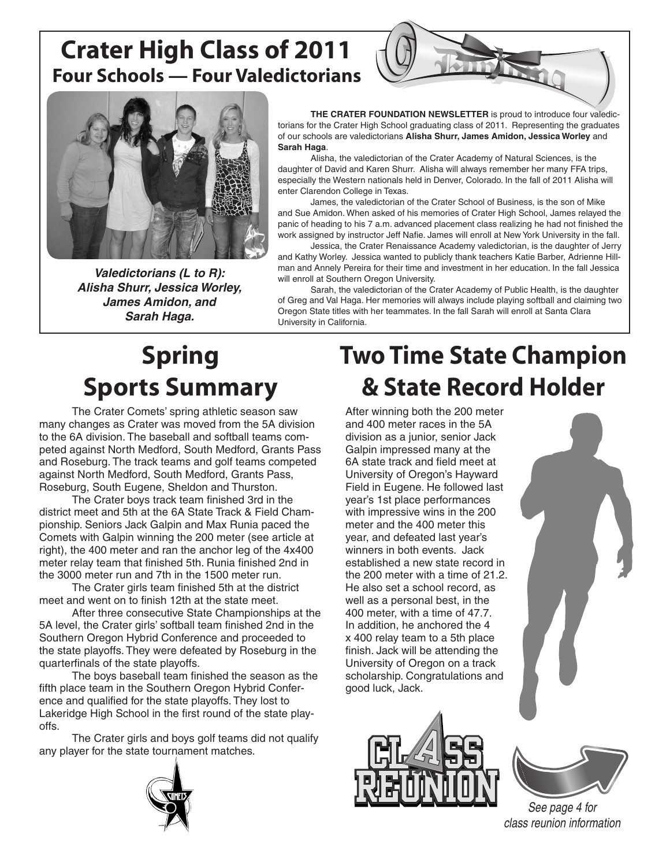### **Crater High Class of 2011 Four Schools — Four Valedictorians**





**Valedictorians (L to R): Alisha Shurr, Jessica Worley, James Amidon, and Sarah Haga.**

**THE CRATER FOUNDATION NEWSLETTER** is proud to introduce four valedictorians for the Crater High School graduating class of 2011. Representing the graduates of our schools are valedictorians **Alisha Shurr, James Amidon, Jessica Worley** and **Sarah Haga**.

Alisha, the valedictorian of the Crater Academy of Natural Sciences, is the daughter of David and Karen Shurr. Alisha will always remember her many FFA trips, especially the Western nationals held in Denver, Colorado. In the fall of 2011 Alisha will enter Clarendon College in Texas.

James, the valedictorian of the Crater School of Business, is the son of Mike and Sue Amidon. When asked of his memories of Crater High School, James relayed the panic of heading to his 7 a.m. advanced placement class realizing he had not finished the work assigned by instructor Jeff Nafie. James will enroll at New York University in the fall.

Jessica, the Crater Renaissance Academy valedictorian, is the daughter of Jerry and Kathy Worley. Jessica wanted to publicly thank teachers Katie Barber, Adrienne Hillman and Annely Pereira for their time and investment in her education. In the fall Jessica will enroll at Southern Oregon University.

Sarah, the valedictorian of the Crater Academy of Public Health, is the daughter of Greg and Val Haga. Her memories will always include playing softball and claiming two Oregon State titles with her teammates. In the fall Sarah will enroll at Santa Clara University in California.

# **Spring Sports Summary**

The Crater Comets' spring athletic season saw many changes as Crater was moved from the 5A division to the 6A division. The baseball and softball teams competed against North Medford, South Medford, Grants Pass and Roseburg. The track teams and golf teams competed against North Medford, South Medford, Grants Pass, Roseburg, South Eugene, Sheldon and Thurston.

The Crater boys track team finished 3rd in the district meet and 5th at the 6A State Track & Field Championship. Seniors Jack Galpin and Max Runia paced the Comets with Galpin winning the 200 meter (see article at right), the 400 meter and ran the anchor leg of the 4x400 meter relay team that finished 5th. Runia finished 2nd in the 3000 meter run and 7th in the 1500 meter run.

The Crater girls team finished 5th at the district meet and went on to finish 12th at the state meet.

After three consecutive State Championships at the 5A level, the Crater girls' softball team finished 2nd in the Southern Oregon Hybrid Conference and proceeded to the state playoffs. They were defeated by Roseburg in the quarterfinals of the state playoffs.

The boys baseball team finished the season as the fifth place team in the Southern Oregon Hybrid Conference and qualified for the state playoffs. They lost to Lakeridge High School in the first round of the state playoffs.

The Crater girls and boys golf teams did not qualify any player for the state tournament matches.

# **Two Time State Champion & State Record Holder**

After winning both the 200 meter and 400 meter races in the 5A division as a junior, senior Jack Galpin impressed many at the 6A state track and field meet at University of Oregon's Hayward Field in Eugene. He followed last year's 1st place performances with impressive wins in the 200 meter and the 400 meter this year, and defeated last year's winners in both events. Jack established a new state record in the 200 meter with a time of 21.2. He also set a school record, as well as a personal best, in the 400 meter, with a time of 47.7. In addition, he anchored the 4 x 400 relay team to a 5th place finish. Jack will be attending the University of Oregon on a track scholarship. Congratulations and good luck, Jack.







See page 4 for class reunion information